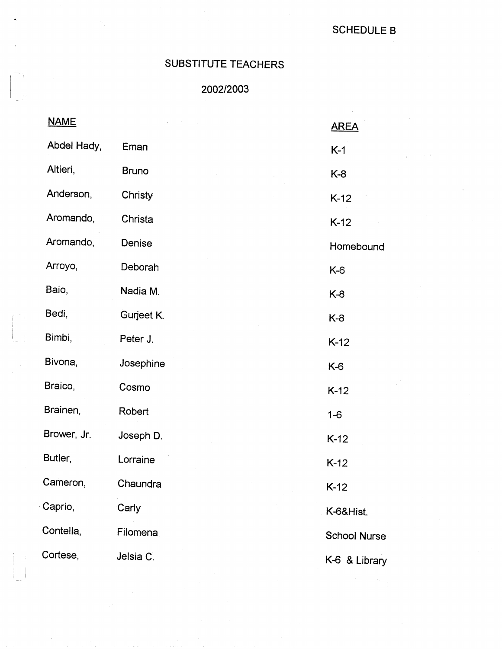## SCHEDULE B

## SUBSTITUTE TEACHERS

-

ti.

I

I I

## 2002/2003

| <b>NAME</b> |              | <b>AREA</b>         |
|-------------|--------------|---------------------|
| Abdel Hady, | Eman         | $K-1$               |
| Altieri,    | <b>Bruno</b> | $K-8$               |
| Anderson,   | Christy      | $K-12$              |
| Aromando,   | Christa      | $K-12$              |
| Aromando,   | Denise       | Homebound           |
| Arroyo,     | Deborah      | $K-6$               |
| Baio,       | Nadia M.     | K-8                 |
| Bedi,       | Gurjeet K.   | K-8                 |
| Bimbi,      | Peter J.     | $K-12$              |
| Bivona,     | Josephine    | K-6                 |
| Braico,     | Cosmo        | $K-12$              |
| Brainen,    | Robert       | $1 - 6$             |
| Brower, Jr. | Joseph D.    | $K-12$              |
| Butler,     | Lorraine     | $K-12$              |
| Cameron,    | Chaundra     | $K-12$              |
| Caprio,     | Carly        | K-6&Hist.           |
| Contella,   | Filomena     | <b>School Nurse</b> |
| Cortese,    | Jelsia C.    | K-6 & Library       |
|             |              |                     |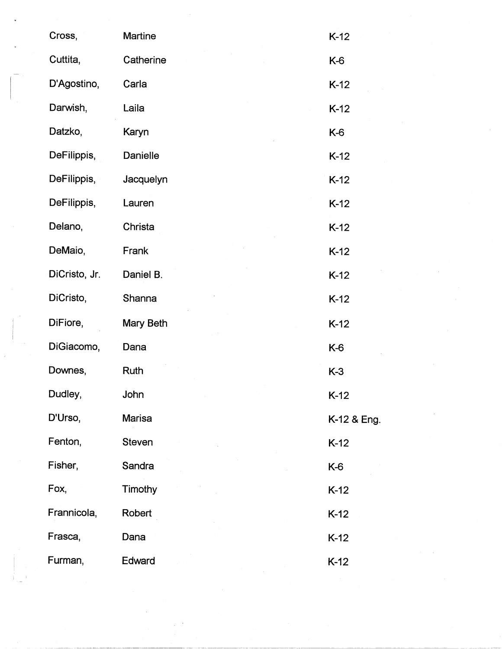| Cross,        | Martine       | $K-12$      |
|---------------|---------------|-------------|
| Cuttita,      | Catherine     | K-6         |
| D'Agostino,   | Carla         | $K-12$      |
| Darwish,      | Laila         | $K-12$      |
| Datzko,       | Karyn         | K-6         |
| DeFilippis,   | Danielle      | $K-12$      |
| DeFilippis,   | Jacquelyn     | $K-12$      |
| DeFilippis,   | Lauren        | $K-12$      |
| Delano,       | Christa       | $K-12$      |
| DeMaio,       | Frank         | $K-12$      |
| DiCristo, Jr. | Daniel B.     | $K-12$      |
| DiCristo,     | Shanna        | $K-12$      |
| DiFiore,      | Mary Beth     | $K-12$      |
| DiGiacomo,    | Dana          | K-6         |
| Downes,       | Ruth          | $K-3$       |
| Dudley,       | John          | $K-12$      |
| D'Urso,       | Marisa        | K-12 & Eng. |
| Fenton,       | <b>Steven</b> | $K-12$      |
| Fisher,       | Sandra        | K-6         |
| Fox,          | Timothy       | $K-12$      |
| Frannicola,   | Robert        | $K-12$      |
| Frasca,       | Dana          | $K-12$      |
| Furman,       | Edward        | $K-12$      |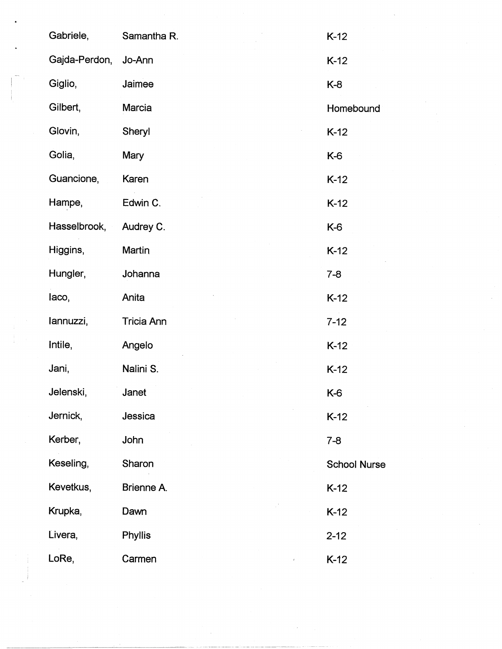| Gabriele,     | Samantha R.         | $K-12$              |
|---------------|---------------------|---------------------|
| Gajda-Perdon, | Jo-Ann              | $K-12$              |
| Giglio,       | Jaimee              | $K-8$               |
| Gilbert,      | Marcia              | Homebound           |
| Glovin,       | Sheryl              | $K-12$              |
| Golia,        | Mary                | K-6                 |
| Guancione,    | Karen               | $K-12$              |
| Hampe,        | Edwin C.            | $K-12$              |
| Hasselbrook,  | Audrey C.           | K-6                 |
| Higgins,      | Martin              | $K-12$              |
| Hungler,      | Johanna             | $7 - 8$             |
| laco,         | Anita               | $K-12$              |
| lannuzzi,     | <b>Tricia Ann</b>   | $7 - 12$            |
| Intile,       | Angelo              | $K-12$              |
| Jani,         | Nalini S.           | $K-12$              |
| Jelenski,     | Janet               | $K-6$               |
| Jernick,      | Jessica             | $K-12$              |
| Kerber,       | John                | $7 - 8$             |
| Keseling,     | Sharon              | <b>School Nurse</b> |
| Kevetkus,     | Brienne A.          | $K-12$              |
| Krupka,       | Dawn                | $K-12$              |
| Livera,       | Phyllis             | $2 - 12$            |
| LoRe,         | Carmen<br>$\hat{z}$ | $K-12$              |

 $\label{eq:1} \frac{1}{\sqrt{2}}\int_{0}^{\frac{1}{2}}\frac{1}{\sqrt{2}}\left(\frac{1}{\sqrt{2}}\right)^{2}d\theta.$ 

 $\frac{1}{\sqrt{2}}\frac{d\phi}{d\phi}$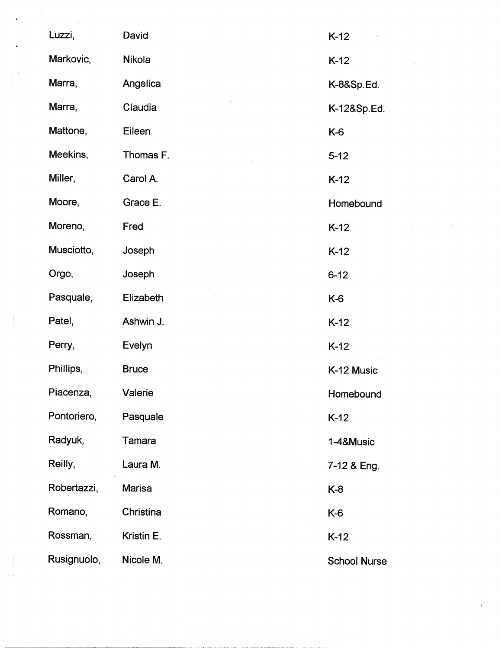| Luzzi,      | David         | $K-12$              |
|-------------|---------------|---------------------|
| Markovic,   | Nikola        | $K-12$              |
| Marra,      | Angelica      | K-8&Sp.Ed.          |
| Marra,      | Claudia       | K-12&Sp.Ed.         |
| Mattone,    | Eileen        | K-6                 |
| Meekins,    | Thomas F.     | $5 - 12$            |
| Miller,     | Carol A.      | $K-12$              |
| Moore,      | Grace E.      | Homebound           |
| Moreno,     | Fred          | $K-12$              |
| Musciotto,  | Joseph        | $K-12$              |
| Orgo,       | Joseph        | $6 - 12$            |
| Pasquale,   | Elizabeth     | K-6                 |
| Patel,      | Ashwin J.     | $K-12$              |
| Perry,      | Evelyn        | $K-12$              |
| Phillips,   | <b>Bruce</b>  | K-12 Music          |
| Piacenza,   | Valerie       | Homebound           |
| Pontoriero, | Pasquale      | $K-12$              |
| Radyuk,     | Tamara        | 1-4&Music           |
| Reilly,     | Laura M.      | 7-12 & Eng.         |
| Robertazzi, | <b>Marisa</b> | $K-8$               |
| Romano,     | Christina     | K-6                 |
| Rossman,    | Kristin E.    | $K-12$              |
| Rusignuolo, | Nicole M.     | <b>School Nurse</b> |

 $\langle\cdot,\cdot\rangle$ 

 $\mathcal{L}^{\mathcal{L}}$